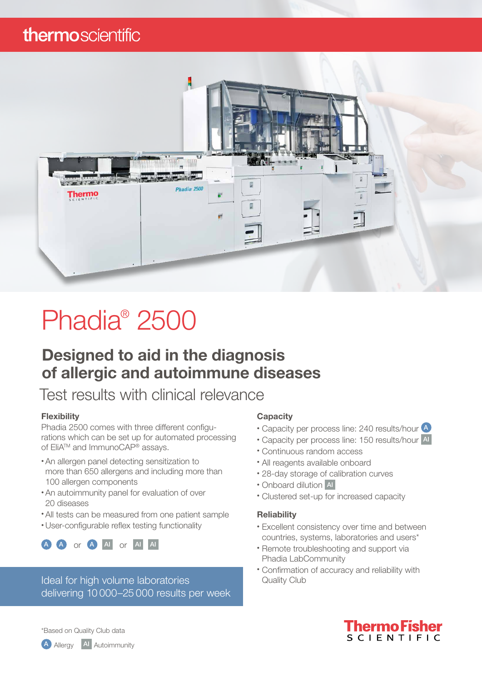### thermoscientific



# Phadia® 2500

### Designed to aid in the diagnosis of allergic and autoimmune diseases

### Test results with clinical relevance

#### **Flexibility**

Phadia 2500 comes with three different configurations which can be set up for automated processing of EliA™ and ImmunoCAP® assays.

- An allergen panel detecting sensitization to more than 650 allergens and including more than 100 allergen components
- An autoimmunity panel for evaluation of over 20 diseases
- All tests can be measured from one patient sample
- User-configurable reflex testing functionality



Ideal for high volume laboratories **Access Containst Club** Quality Club delivering 10 000–25 000 results per week

#### **Capacity**

- Capacity per process line: 240 results/hour 4
- Capacity per process line: 150 results/hour AI
- Continuous random access
- All reagents available onboard
- 28-day storage of calibration curves
- Onboard dilution AI
- Clustered set-up for increased capacity

#### **Reliability**

- Excellent consistency over time and between countries, systems, laboratories and users\*
- Remote troubleshooting and support via Phadia LabCommunity
- Confirmation of accuracy and reliability with



\*Based on Quality Club data